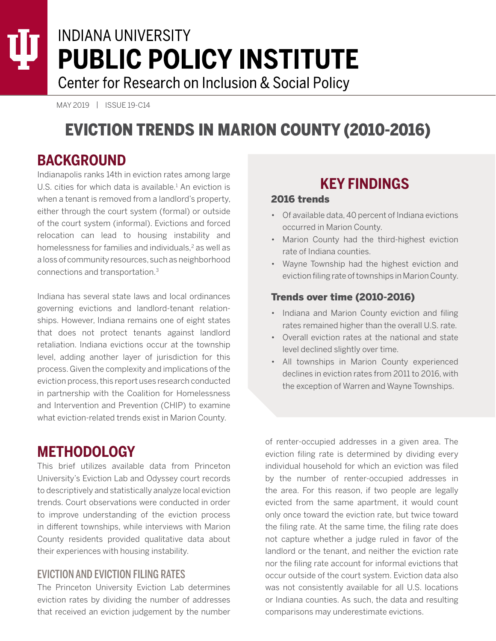# **INDIANA UNIVERSITY PUBLIC POLICY INSTITUTE** Center for Research on Inclusion & Social Policy

MAY 2019 | ISSUE 19-C14

# EVICTION TRENDS IN MARION COUNTY (2010-2016)

## **BACKGROUND**

Indianapolis ranks 14th in eviction rates among large U.S. cities for which data is available. $<sup>1</sup>$  An eviction is</sup> when a tenant is removed from a landlord's property, either through the court system (formal) or outside of the court system (informal). Evictions and forced relocation can lead to housing instability and homelessness for families and individuals,<sup>2</sup> as well as a loss of community resources, such as neighborhood connections and transportation.3

Indiana has several state laws and local ordinances governing evictions and landlord-tenant relationships. However, Indiana remains one of eight states that does not protect tenants against landlord retaliation. Indiana evictions occur at the township level, adding another layer of jurisdiction for this process. Given the complexity and implications of the eviction process, this report uses research conducted in partnership with the Coalition for Homelessness and Intervention and Prevention (CHIP) to examine what eviction-related trends exist in Marion County.

## **METHODOLOGY**

This brief utilizes available data from Princeton University's Eviction Lab and Odyssey court records to descriptively and statistically analyze local eviction trends. Court observations were conducted in order to improve understanding of the eviction process in different townships, while interviews with Marion County residents provided qualitative data about their experiences with housing instability.

#### EVICTION AND EVICTION FILING RATES

The Princeton University Eviction Lab determines eviction rates by dividing the number of addresses that received an eviction judgement by the number

# **KEY FINDINGS**

#### 2016 trends

- Of available data, 40 percent of Indiana evictions occurred in Marion County.
- Marion County had the third-highest eviction rate of Indiana counties.
- Wayne Township had the highest eviction and eviction filing rate of townships in Marion County.

#### Trends over time (2010-2016)

- Indiana and Marion County eviction and filing rates remained higher than the overall U.S. rate.
- Overall eviction rates at the national and state level declined slightly over time.
- All townships in Marion County experienced declines in eviction rates from 2011 to 2016, with the exception of Warren and Wayne Townships.

of renter-occupied addresses in a given area. The eviction filing rate is determined by dividing every individual household for which an eviction was filed by the number of renter-occupied addresses in the area. For this reason, if two people are legally evicted from the same apartment, it would count only once toward the eviction rate, but twice toward the filing rate. At the same time, the filing rate does not capture whether a judge ruled in favor of the landlord or the tenant, and neither the eviction rate nor the filing rate account for informal evictions that occur outside of the court system. Eviction data also was not consistently available for all U.S. locations or Indiana counties. As such, the data and resulting comparisons may underestimate evictions.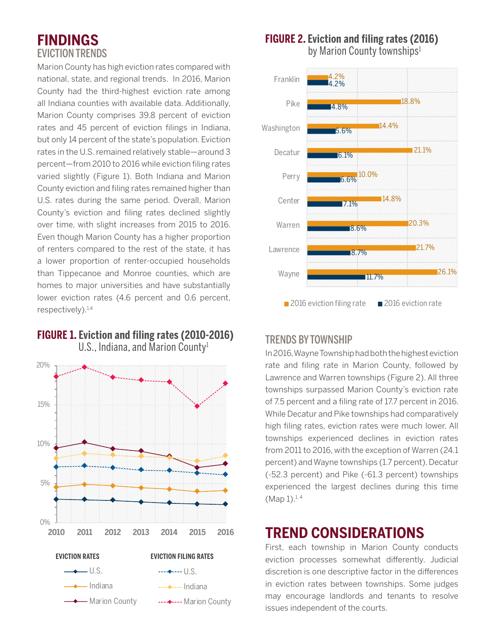# **FINDINGS** EVICTION TRENDS

Marion County has high eviction rates compared with national, state, and regional trends. In 2016, Marion County had the third-highest eviction rate among all Indiana counties with available data. Additionally, Marion County comprises 39.8 percent of eviction rates and 45 percent of eviction filings in Indiana, but only 14 percent of the state's population. Eviction rates in the U.S. remained relatively stable—around 3 percent—from 2010 to 2016 while eviction filing rates varied slightly (Figure 1). Both Indiana and Marion County eviction and filing rates remained higher than U.S. rates during the same period. Overall, Marion County's eviction and filing rates declined slightly over time, with slight increases from 2015 to 2016. Even though Marion County has a higher proportion of renters compared to the rest of the state, it has a lower proportion of renter-occupied households than Tippecanoe and Monroe counties, which are homes to major universities and have substantially lower eviction rates (4.6 percent and 0.6 percent, respectively).<sup>1,4</sup>



## **FIGURE 1. Eviction and filing rates (2010-2016)** U.S., Indiana, and Marion County<sup>1</sup>

#### **FIGURE 2. Eviction and filing rates (2016)** by Marion County townships<sup>1</sup>



## TRENDS BY TOWNSHIP

In 2016, Wayne Township had both the highest eviction rate and filing rate in Marion County, followed by Lawrence and Warren townships (Figure 2). All three townships surpassed Marion County's eviction rate of 7.5 percent and a filing rate of 17.7 percent in 2016. While Decatur and Pike townships had comparatively high filing rates, eviction rates were much lower. All townships experienced declines in eviction rates from 2011 to 2016, with the exception of Warren (24.1 percent) and Wayne townships (1.7 percent). Decatur (-52.3 percent) and Pike (-61.3 percent) townships experienced the largest declines during this time  $(Map 1).<sup>1, 4</sup>$ 

# **TREND CONSIDERATIONS**

First, each township in Marion County conducts eviction processes somewhat differently. Judicial discretion is one descriptive factor in the differences in eviction rates between townships. Some judges may encourage landlords and tenants to resolve issues independent of the courts.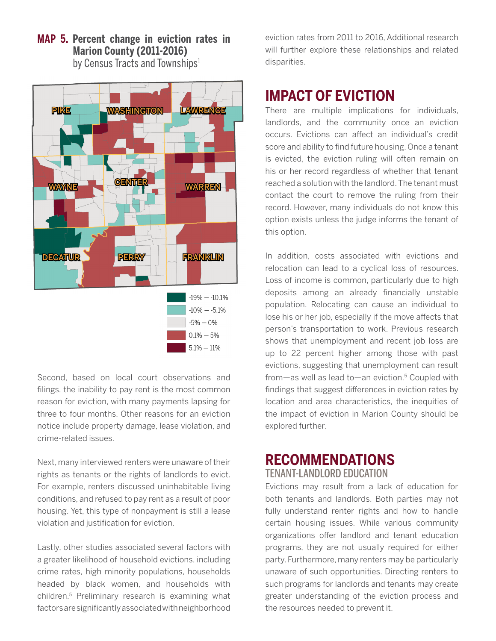![](_page_2_Figure_0.jpeg)

**MAP 5. Percent change in eviction rates in Marion County (2011-2016)**

by Census Tracts and Townships<sup>1</sup>

Second, based on local court observations and filings, the inability to pay rent is the most common reason for eviction, with many payments lapsing for three to four months. Other reasons for an eviction notice include property damage, lease violation, and crime-related issues.

Next, many interviewed renters were unaware of their rights as tenants or the rights of landlords to evict. For example, renters discussed uninhabitable living conditions, and refused to pay rent as a result of poor housing. Yet, this type of nonpayment is still a lease violation and justification for eviction.

Lastly, other studies associated several factors with a greater likelihood of household evictions, including crime rates, high minority populations, households headed by black women, and households with children.5 Preliminary research is examining what factors are significantly associated with neighborhood

eviction rates from 2011 to 2016, Additional research will further explore these relationships and related disparities.

# **IMPACT OF EVICTION**

There are multiple implications for individuals, landlords, and the community once an eviction occurs. Evictions can affect an individual's credit score and ability to find future housing. Once a tenant is evicted, the eviction ruling will often remain on his or her record regardless of whether that tenant reached a solution with the landlord. The tenant must contact the court to remove the ruling from their record. However, many individuals do not know this option exists unless the judge informs the tenant of this option.

In addition, costs associated with evictions and relocation can lead to a cyclical loss of resources. Loss of income is common, particularly due to high deposits among an already financially unstable population. Relocating can cause an individual to lose his or her job, especially if the move affects that person's transportation to work. Previous research shows that unemployment and recent job loss are up to 22 percent higher among those with past evictions, suggesting that unemployment can result from—as well as lead to—an eviction. $5$  Coupled with findings that suggest differences in eviction rates by location and area characteristics, the inequities of the impact of eviction in Marion County should be explored further.

## **RECOMMENDATIONS** TENANT-LANDLORD EDUCATION

Evictions may result from a lack of education for both tenants and landlords. Both parties may not fully understand renter rights and how to handle certain housing issues. While various community organizations offer landlord and tenant education programs, they are not usually required for either party. Furthermore, many renters may be particularly unaware of such opportunities. Directing renters to such programs for landlords and tenants may create greater understanding of the eviction process and the resources needed to prevent it.